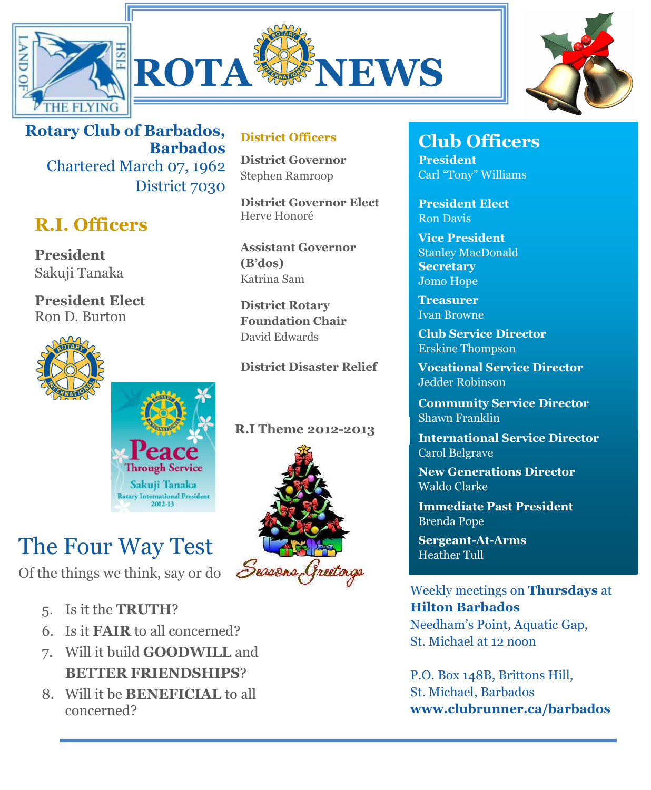





**Rotary Club of Barbados, Barbados** Chartered March 07, 1962 District 7030

## **R.I. Officers**

**President**  Sakuji Tanaka

**President Elect** Ron D. Burton



**District Officers**

**District Governor** Stephen Ramroop

**District Governor Elect** Herve Honoré

**Assistant Governor (B'dos)** Katrina Sam

**District Rotary Foundation Chair** David Edwards

**District Disaster Relief**

Of the things we think, say or do

- 5. Is it the **TRUTH**?
- 6. Is it **FAIR** to all concerned?
- 7. Will it build **GOODWILL** and **BETTER FRIENDSHIPS**?

**Through Service** Sakuji Tanaka ry International Preside

8. Will it be **BENEFICIAL** to all concerned?



# **Club Officers**

**President** Carl "Tony" Williams

**President Elect** Ron Davis

**Vice President** Stanley MacDonald **Secretary** Jomo Hope

**Treasurer** Ivan Browne

**Club Service Director** Erskine Thompson

**Vocational Service Director** Jedder Robinson

**Community Service Director** Shawn Franklin

**International Service Director** Carol Belgrave

**New Generations Director** Waldo Clarke

**Immediate Past President** Brenda Pope

Weekly meetings on **Thursdays** at **Hilton Barbados** Needham's Point, Aquatic Gap, St. Michael at 12 noon

P.O. Box 148B, Brittons Hill, St. Michael, Barbados **www.clubrunner.ca/barbados**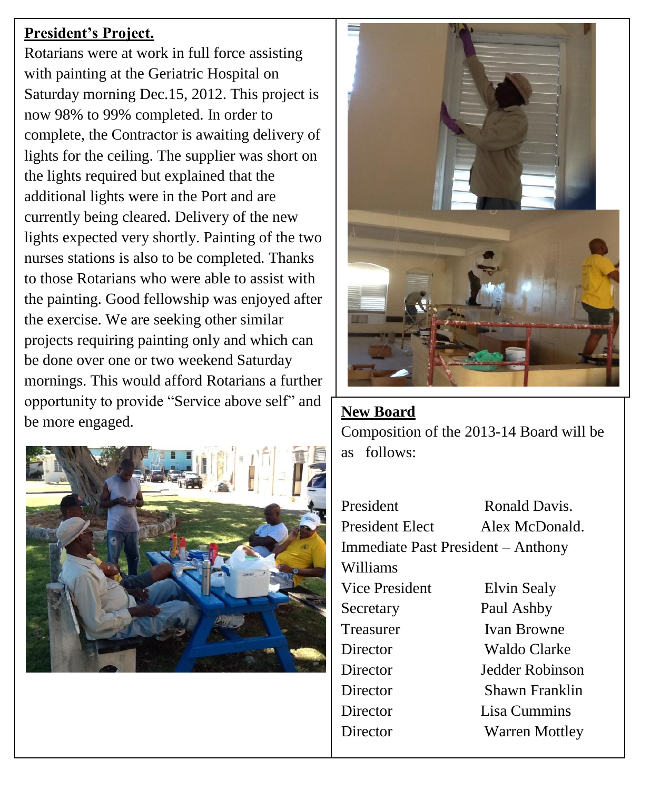#### **President's Project.**

Rotarians were at work in full force assisting with painting at the Geriatric Hospital on Saturday morning Dec.15, 2012. This project is now 98% to 99% completed. In order to complete, the Contractor is awaiting delivery of lights for the ceiling. The supplier was short on the lights required but explained that the additional lights were in the Port and are currently being cleared. Delivery of the new lights expected very shortly. Painting of the two nurses stations is also to be completed. Thanks to those Rotarians who were able to assist with the painting. Good fellowship was enjoyed after the exercise. We are seeking other similar projects requiring painting only and which can be done over one or two weekend Saturday mornings. This would afford Rotarians a further opportunity to provide "Service above self" and <br>be more engaged.





Composition of the 2013-14 Board will be as follows:

President Ronald Davis. President Elect Alex McDonald. Immediate Past President – Anthony Williams Vice President Elvin Sealy Secretary Paul Ashby Treasurer Ivan Browne Director Waldo Clarke Director Jedder Robinson Director Shawn Franklin Director Lisa Cummins Director Warren Mottley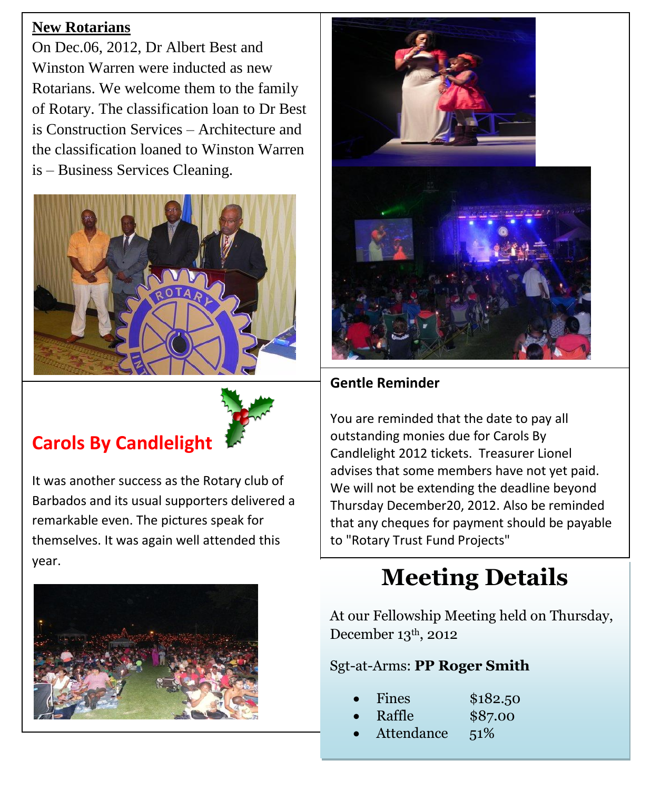#### **New Rotarians**

On Dec.06, 2012, Dr Albert Best and Winston Warren were inducted as new Rotarians. We welcome them to the family of Rotary. The classification loan to Dr Best is Construction Services – Architecture and the classification loaned to Winston Warren is – Business Services Cleaning.



## **Carols By Candlelight**

It was another success as the Rotary club of Barbados and its usual supporters delivered a remarkable even. The pictures speak for themselves. It was again well attended this year.





#### **Gentle Reminder**

You are reminded that the date to pay all outstanding monies due for Carols By Candlelight 2012 tickets. Treasurer Lionel advises that some members have not yet paid. We will not be extending the deadline beyond Thursday December20, 2012. Also be reminded that any cheques for payment should be payable to "Rotary Trust Fund Projects"

# **Meeting Details**

At our Fellowship Meeting held on Thursday, December 13th, 2012

Sgt-at-Arms: **PP Roger Smith**

- Fines \$182.50
- Raffle \$87.00
- Attendance 51%